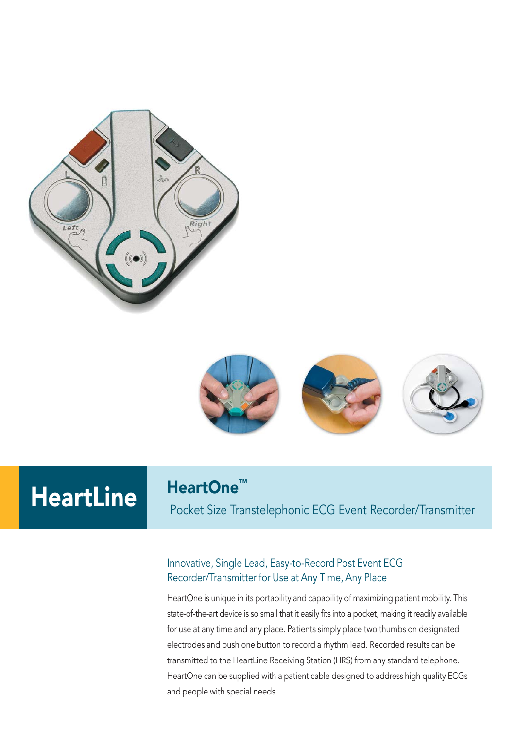



# HeartLine HeartOne™

Pocket Size Transtelephonic ECG Event Recorder/Transmitter

#### Innovative, Single Lead, Easy-to-Record Post Event ECG Recorder/Transmitter for Use at Any Time, Any Place

HeartOne is unique in its portability and capability of maximizing patient mobility. This state-of-the-art device is so small that it easily fits into a pocket, making it readily available for use at any time and any place. Patients simply place two thumbs on designated electrodes and push one button to record a rhythm lead. Recorded results can be transmitted to the HeartLine Receiving Station (HRS) from any standard telephone. HeartOne can be supplied with a patient cable designed to address high quality ECGs and people with special needs.